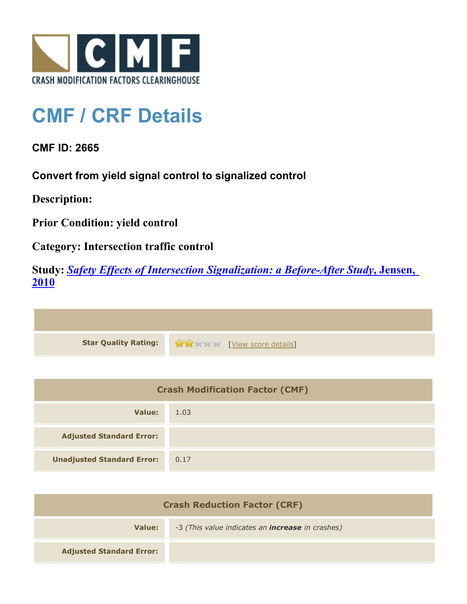

## **CMF / CRF Details**

**CMF ID: 2665**

**Convert from yield signal control to signalized control**

**Description:** 

**Prior Condition: yield control**

**Category: Intersection traffic control**

**Study:** *[Safety Effects of Intersection Signalization: a Before-After Study](http://www.cmfclearinghouse.org/study_detail.cfm?stid=170)***[, Jensen,](http://www.cmfclearinghouse.org/study_detail.cfm?stid=170) [2010](http://www.cmfclearinghouse.org/study_detail.cfm?stid=170)**



| <b>Crash Modification Factor (CMF)</b> |      |
|----------------------------------------|------|
| Value:                                 | 1.03 |
| <b>Adjusted Standard Error:</b>        |      |
| <b>Unadjusted Standard Error:</b>      | 0.17 |

| <b>Crash Reduction Factor (CRF)</b> |                                                         |
|-------------------------------------|---------------------------------------------------------|
| Value:                              | -3 (This value indicates an <b>increase</b> in crashes) |
| <b>Adjusted Standard Error:</b>     |                                                         |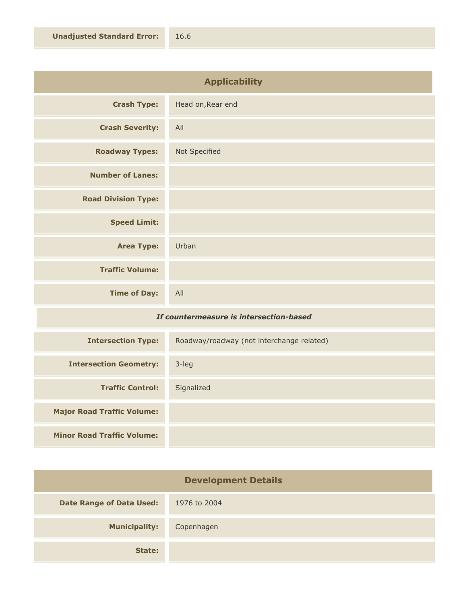| <b>Applicability</b>       |                   |
|----------------------------|-------------------|
| <b>Crash Type:</b>         | Head on, Rear end |
| <b>Crash Severity:</b>     | All               |
| <b>Roadway Types:</b>      | Not Specified     |
| <b>Number of Lanes:</b>    |                   |
| <b>Road Division Type:</b> |                   |
| <b>Speed Limit:</b>        |                   |
| <b>Area Type:</b>          | Urban             |
| <b>Traffic Volume:</b>     |                   |
| <b>Time of Day:</b>        | All               |

## *If countermeasure is intersection-based*

| <b>Intersection Type:</b>         | Roadway/roadway (not interchange related) |
|-----------------------------------|-------------------------------------------|
| <b>Intersection Geometry:</b>     | 3-leg                                     |
| <b>Traffic Control:</b>           | Signalized                                |
| <b>Major Road Traffic Volume:</b> |                                           |
| <b>Minor Road Traffic Volume:</b> |                                           |

| <b>Development Details</b>      |              |
|---------------------------------|--------------|
| <b>Date Range of Data Used:</b> | 1976 to 2004 |
| <b>Municipality:</b>            | Copenhagen   |
| State:                          |              |